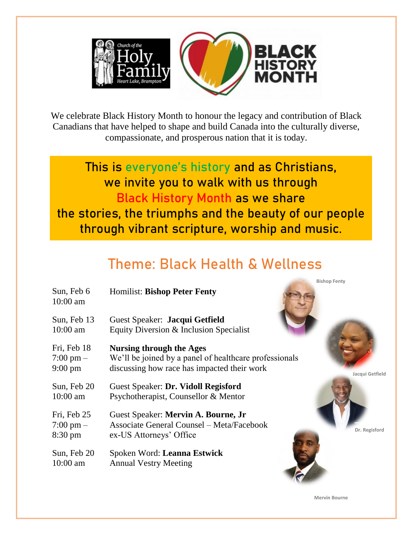

We celebrate Black History Month to honour the legacy and contribution of Black Canadians that have helped to shape and build Canada into the culturally diverse, compassionate, and prosperous nation that it is today.

**This is everyone's history and as Christians, we invite you to walk with us through Black History Month as we share the stories, the triumphs and the beauty of our people through vibrant scripture, worship and music.**

## **Theme: Black Health & Wellness**

|                                                         | ווסורא וכומ                                                                                                                                                 |
|---------------------------------------------------------|-------------------------------------------------------------------------------------------------------------------------------------------------------------|
| Sun, Feb 6<br>$10:00$ am                                | <b>Homilist: Bishop Peter Fenty</b>                                                                                                                         |
| Sun, Feb 13<br>$10:00$ am                               | Guest Speaker: Jacqui Getfield<br>Equity Diversion & Inclusion Specialist                                                                                   |
| Fri, Feb 18<br>$7:00 \text{ pm} -$<br>$9:00 \text{ pm}$ | <b>Nursing through the Ages</b><br>We'll be joined by a panel of healthcare professionals<br>discussing how race has impacted their work<br>Jacqui Getfield |
| Sun, Feb 20<br>$10:00$ am                               | Guest Speaker: Dr. Vidoll Regisford<br>Psychotherapist, Counsellor & Mentor                                                                                 |
| Fri, Feb 25<br>$7:00 \text{ pm} -$<br>8:30 pm           | Guest Speaker: Mervin A. Bourne, Jr<br><b>Associate General Counsel – Meta/Facebook</b><br>Dr. Regisford<br>ex-US Attorneys' Office                         |
| Sun, Feb 20<br>$10:00$ am                               | Spoken Word: Leanna Estwick<br><b>Annual Vestry Meeting</b>                                                                                                 |

**Mervin Bourne** 

**Bishop Fenty**